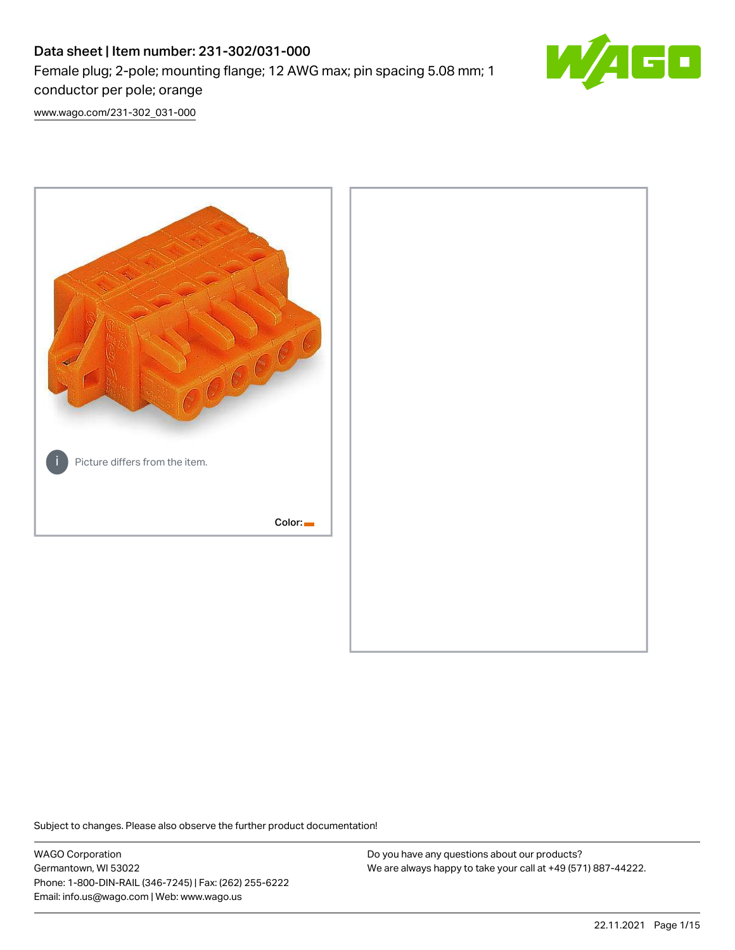# Data sheet | Item number: 231-302/031-000 Female plug; 2-pole; mounting flange; 12 AWG max; pin spacing 5.08 mm; 1 conductor per pole; orange



[www.wago.com/231-302\\_031-000](http://www.wago.com/231-302_031-000)



Subject to changes. Please also observe the further product documentation!

WAGO Corporation Germantown, WI 53022 Phone: 1-800-DIN-RAIL (346-7245) | Fax: (262) 255-6222 Email: info.us@wago.com | Web: www.wago.us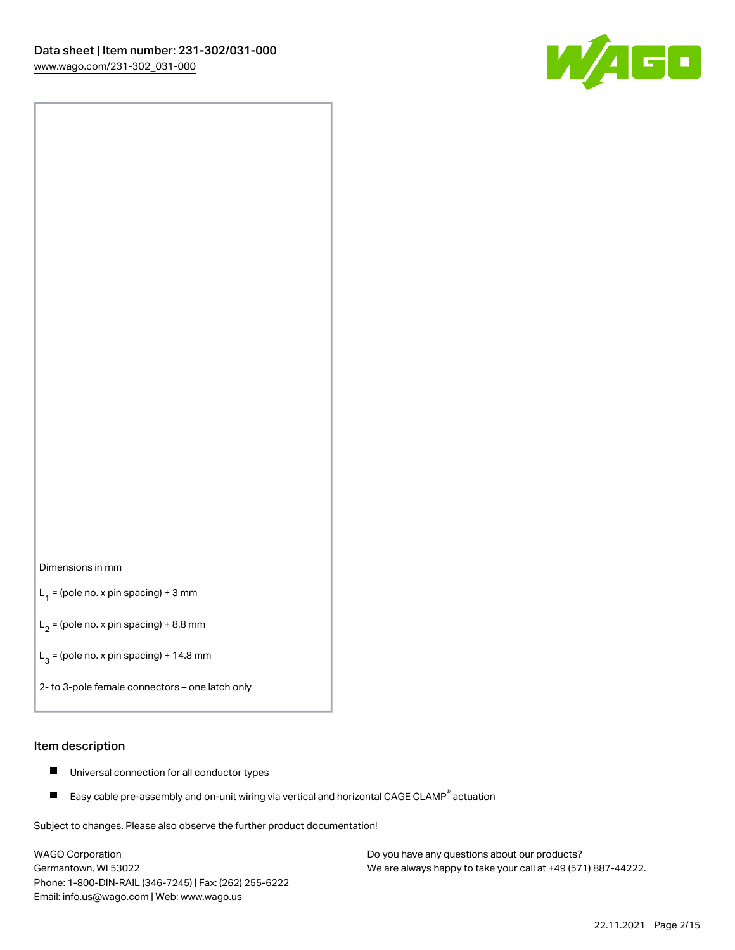

#### Dimensions in mm

 $L_1$  = (pole no. x pin spacing) + 3 mm

 $L_2$  = (pole no. x pin spacing) + 8.8 mm

 $L_3$  = (pole no. x pin spacing) + 14.8 mm

2- to 3-pole female connectors – one latch only

#### Item description

- Universal connection for all conductor types  $\blacksquare$
- Easy cable pre-assembly and on-unit wiring via vertical and horizontal CAGE CLAMP<sup>®</sup> actuation П

.<br>Subject to changes. Please also observe the further product documentation!

WAGO Corporation Germantown, WI 53022 Phone: 1-800-DIN-RAIL (346-7245) | Fax: (262) 255-6222 Email: info.us@wago.com | Web: www.wago.us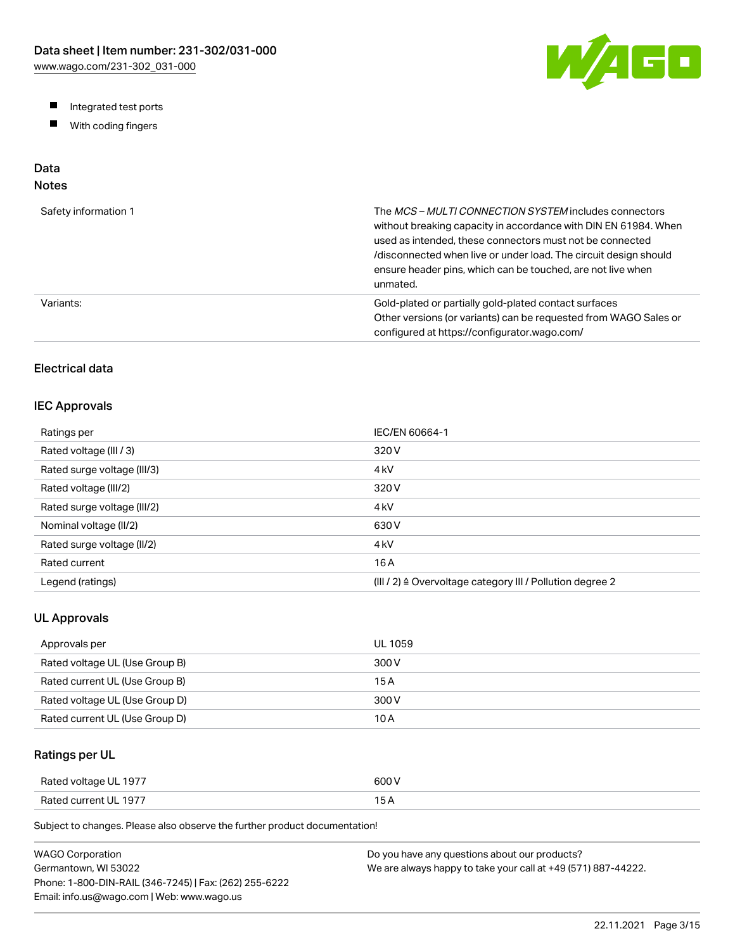W/AGO

- Integrated test ports
- $\blacksquare$ With coding fingers

# Data

# Notes

| Safety information 1 | The MCS-MULTI CONNECTION SYSTEM includes connectors<br>without breaking capacity in accordance with DIN EN 61984. When<br>used as intended, these connectors must not be connected<br>/disconnected when live or under load. The circuit design should<br>ensure header pins, which can be touched, are not live when<br>unmated. |
|----------------------|-----------------------------------------------------------------------------------------------------------------------------------------------------------------------------------------------------------------------------------------------------------------------------------------------------------------------------------|
| Variants:            | Gold-plated or partially gold-plated contact surfaces<br>Other versions (or variants) can be requested from WAGO Sales or<br>configured at https://configurator.wago.com/                                                                                                                                                         |

# Electrical data

## IEC Approvals

| Ratings per                 | IEC/EN 60664-1                                                        |
|-----------------------------|-----------------------------------------------------------------------|
| Rated voltage (III / 3)     | 320 V                                                                 |
| Rated surge voltage (III/3) | 4 <sub>kV</sub>                                                       |
| Rated voltage (III/2)       | 320 V                                                                 |
| Rated surge voltage (III/2) | 4 <sub>k</sub> V                                                      |
| Nominal voltage (II/2)      | 630 V                                                                 |
| Rated surge voltage (II/2)  | 4 <sub>k</sub> V                                                      |
| Rated current               | 16 A                                                                  |
| Legend (ratings)            | $(III / 2)$ $\triangle$ Overvoltage category III / Pollution degree 2 |

## UL Approvals

| Approvals per                  | <b>UL 1059</b> |
|--------------------------------|----------------|
| Rated voltage UL (Use Group B) | 300 V          |
| Rated current UL (Use Group B) | 15 A           |
| Rated voltage UL (Use Group D) | 300 V          |
| Rated current UL (Use Group D) | 10 A           |

# Ratings per UL

| Rated voltage UL 1977 | 600 V  |
|-----------------------|--------|
| Rated current UL 1977 | $\sim$ |

Subject to changes. Please also observe the further product documentation!

| WAGO Corporation                                       | Do you have any questions about our products?                 |
|--------------------------------------------------------|---------------------------------------------------------------|
| Germantown. WI 53022                                   | We are always happy to take your call at +49 (571) 887-44222. |
| Phone: 1-800-DIN-RAIL (346-7245)   Fax: (262) 255-6222 |                                                               |
| Email: info.us@wago.com   Web: www.wago.us             |                                                               |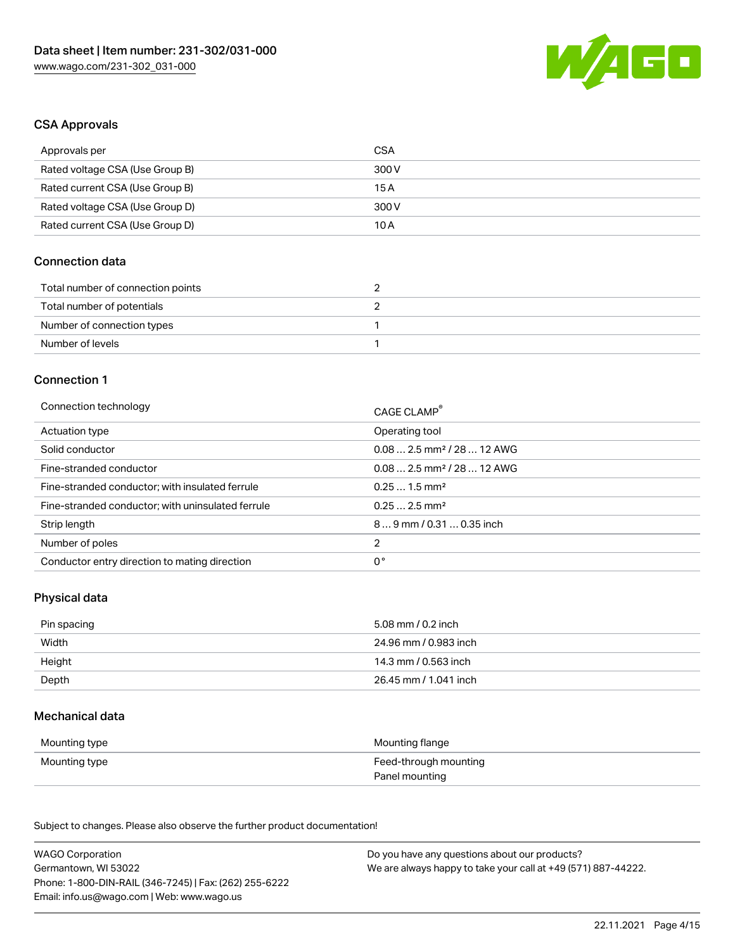

#### CSA Approvals

| Approvals per                   | CSA   |
|---------------------------------|-------|
| Rated voltage CSA (Use Group B) | 300 V |
| Rated current CSA (Use Group B) | 15 A  |
| Rated voltage CSA (Use Group D) | 300 V |
| Rated current CSA (Use Group D) | 10 A  |

## Connection data

| Total number of connection points |  |
|-----------------------------------|--|
| Total number of potentials        |  |
| Number of connection types        |  |
| Number of levels                  |  |

#### Connection 1

| Connection technology                             | CAGE CLAMP®                            |
|---------------------------------------------------|----------------------------------------|
| Actuation type                                    | Operating tool                         |
| Solid conductor                                   | $0.082.5$ mm <sup>2</sup> / 28  12 AWG |
| Fine-stranded conductor                           | $0.082.5$ mm <sup>2</sup> / 28  12 AWG |
| Fine-stranded conductor; with insulated ferrule   | $0.251.5$ mm <sup>2</sup>              |
| Fine-stranded conductor; with uninsulated ferrule | $0.252.5$ mm <sup>2</sup>              |
| Strip length                                      | $89$ mm / 0.31  0.35 inch              |
| Number of poles                                   | 2                                      |
| Conductor entry direction to mating direction     | 0°                                     |

## Physical data

| Pin spacing | 5.08 mm / 0.2 inch    |
|-------------|-----------------------|
| Width       | 24.96 mm / 0.983 inch |
| Height      | 14.3 mm / 0.563 inch  |
| Depth       | 26.45 mm / 1.041 inch |

#### Mechanical data

| Mounting type | Mounting flange       |
|---------------|-----------------------|
| Mounting type | Feed-through mounting |
|               | Panel mounting        |

Subject to changes. Please also observe the further product documentation!

| <b>WAGO Corporation</b>                                | Do you have any questions about our products?                 |
|--------------------------------------------------------|---------------------------------------------------------------|
| Germantown, WI 53022                                   | We are always happy to take your call at +49 (571) 887-44222. |
| Phone: 1-800-DIN-RAIL (346-7245)   Fax: (262) 255-6222 |                                                               |
| Email: info.us@wago.com   Web: www.wago.us             |                                                               |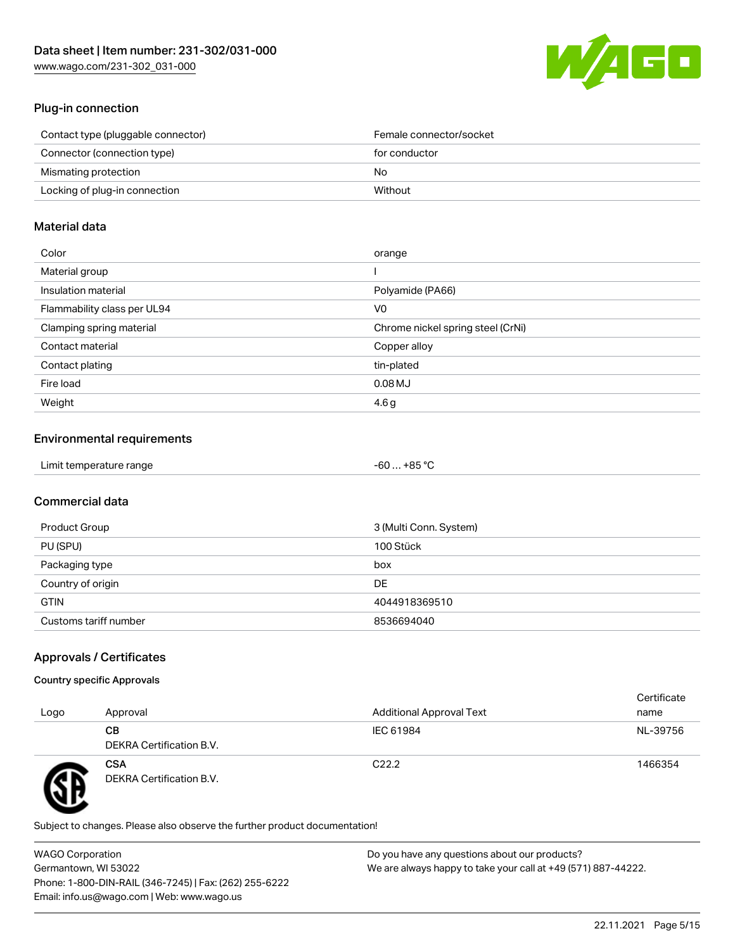

## Plug-in connection

| Contact type (pluggable connector) | Female connector/socket |
|------------------------------------|-------------------------|
| Connector (connection type)        | for conductor           |
| Mismating protection               | No.                     |
| Locking of plug-in connection      | Without                 |
|                                    |                         |

### Material data

| Color                       | orange                            |
|-----------------------------|-----------------------------------|
| Material group              |                                   |
| Insulation material         | Polyamide (PA66)                  |
| Flammability class per UL94 | V0                                |
| Clamping spring material    | Chrome nickel spring steel (CrNi) |
| Contact material            | Copper alloy                      |
| Contact plating             | tin-plated                        |
| Fire load                   | $0.08$ MJ                         |
| Weight                      | 4.6 <sub>g</sub>                  |

## Environmental requirements

| Limit temperature range<br>.<br>$\blacksquare$ . The contract of the contract of the contract of the contract of the contract of the contract of the contract of the contract of the contract of the contract of the contract of the contract of the contract of the | …+85 °ົ<br>$-60$ |  |
|----------------------------------------------------------------------------------------------------------------------------------------------------------------------------------------------------------------------------------------------------------------------|------------------|--|
|----------------------------------------------------------------------------------------------------------------------------------------------------------------------------------------------------------------------------------------------------------------------|------------------|--|

## Commercial data

| Product Group         | 3 (Multi Conn. System) |
|-----------------------|------------------------|
| PU (SPU)              | 100 Stück              |
| Packaging type        | box                    |
| Country of origin     | DE                     |
| <b>GTIN</b>           | 4044918369510          |
| Customs tariff number | 8536694040             |

## Approvals / Certificates

#### Country specific Approvals

| Logo | Approval                               | <b>Additional Approval Text</b> | Certificate<br>name |
|------|----------------------------------------|---------------------------------|---------------------|
|      | CВ<br>DEKRA Certification B.V.         | IEC 61984                       | NL-39756            |
| T    | <b>CSA</b><br>DEKRA Certification B.V. | C <sub>22.2</sub>               | 1466354             |

Subject to changes. Please also observe the further product documentation!

WAGO Corporation Germantown, WI 53022 Phone: 1-800-DIN-RAIL (346-7245) | Fax: (262) 255-6222 Email: info.us@wago.com | Web: www.wago.us Do you have any questions about our products? We are always happy to take your call at +49 (571) 887-44222.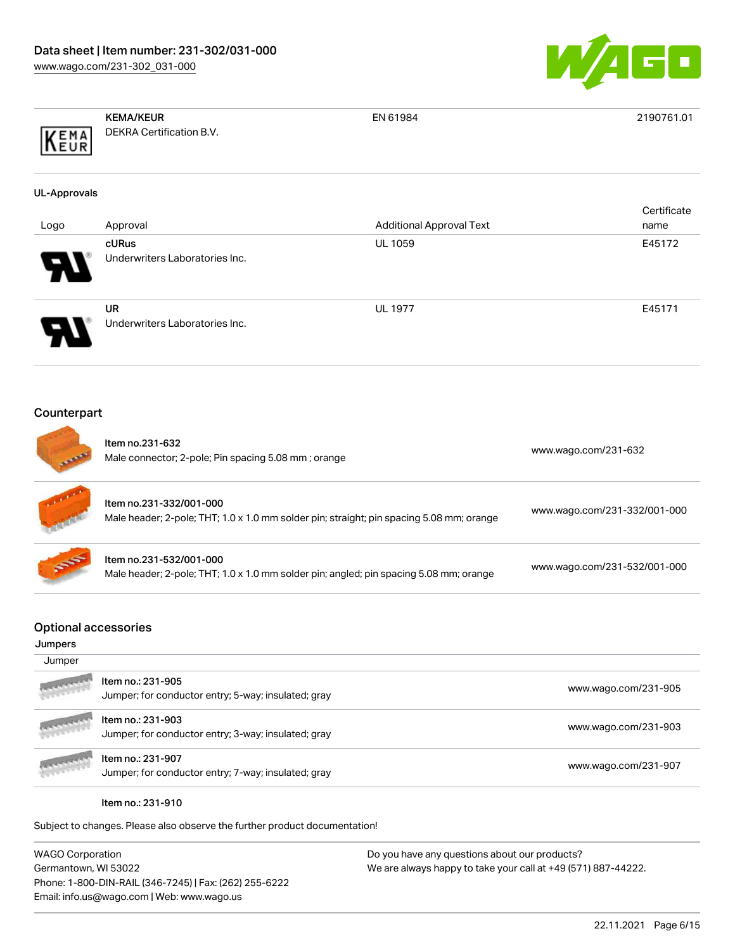

| EMA<br>EUR                             | <b>KEMA/KEUR</b><br>DEKRA Certification B.V.                                                                        | EN 61984                        | 2190761.01                   |
|----------------------------------------|---------------------------------------------------------------------------------------------------------------------|---------------------------------|------------------------------|
| <b>UL-Approvals</b>                    |                                                                                                                     |                                 |                              |
| Logo                                   | Approval                                                                                                            | <b>Additional Approval Text</b> | Certificate<br>name          |
|                                        | cURus<br>Underwriters Laboratories Inc.                                                                             | <b>UL 1059</b>                  | E45172                       |
|                                        | <b>UR</b><br>Underwriters Laboratories Inc.                                                                         | <b>UL 1977</b>                  | E45171                       |
| Counterpart                            | Item no.231-632<br>Male connector; 2-pole; Pin spacing 5.08 mm; orange                                              |                                 | www.wago.com/231-632         |
|                                        | Item no.231-332/001-000<br>Male header; 2-pole; THT; 1.0 x 1.0 mm solder pin; straight; pin spacing 5.08 mm; orange |                                 | www.wago.com/231-332/001-000 |
|                                        | Item no.231-532/001-000<br>Male header; 2-pole; THT; 1.0 x 1.0 mm solder pin; angled; pin spacing 5.08 mm; orange   |                                 | www.wago.com/231-532/001-000 |
| <b>Optional accessories</b><br>Jumpers |                                                                                                                     |                                 |                              |
| Jumper                                 |                                                                                                                     |                                 |                              |
|                                        | Item no.: 231-905<br>Jumper; for conductor entry; 5-way; insulated; gray                                            |                                 | www.wago.com/231-905         |
|                                        | Item no.: 231-903<br>Jumper; for conductor entry; 3-way; insulated; gray                                            |                                 | www.wago.com/231-903         |
|                                        | Item no.: 231-907<br>Jumper; for conductor entry; 7-way; insulated; gray                                            |                                 | www.wago.com/231-907         |
|                                        | Item no.: 231-910                                                                                                   |                                 |                              |

WAGO Corporation Germantown, WI 53022 Phone: 1-800-DIN-RAIL (346-7245) | Fax: (262) 255-6222 Email: info.us@wago.com | Web: www.wago.us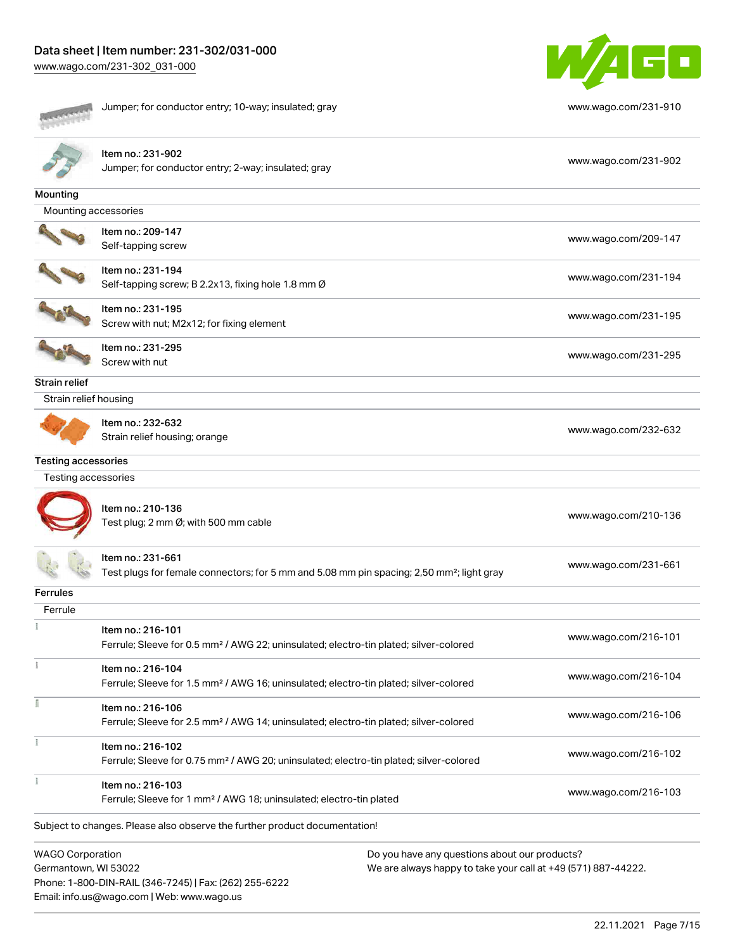Phone: 1-800-DIN-RAIL (346-7245) | Fax: (262) 255-6222

Email: info.us@wago.com | Web: www.wago.us



Jumper; for conductor entry; 10-way; insulated; gray [www.wago.com/231-910](http://www.wago.com/231-910)





Item no.: 231-902 Jumper; for conductor entry; 2-way; insulated; gray [www.wago.com/231-902](http://www.wago.com/231-902)

| Mounting                                        |                                                                                                                         |                                                                                                                |
|-------------------------------------------------|-------------------------------------------------------------------------------------------------------------------------|----------------------------------------------------------------------------------------------------------------|
| Mounting accessories                            |                                                                                                                         |                                                                                                                |
|                                                 | Item no.: 209-147<br>Self-tapping screw                                                                                 | www.wago.com/209-147                                                                                           |
|                                                 | Item no.: 231-194<br>Self-tapping screw; B 2.2x13, fixing hole 1.8 mm Ø                                                 | www.wago.com/231-194                                                                                           |
|                                                 | Item no.: 231-195<br>Screw with nut; M2x12; for fixing element                                                          | www.wago.com/231-195                                                                                           |
|                                                 | Item no.: 231-295<br>Screw with nut                                                                                     | www.wago.com/231-295                                                                                           |
| Strain relief                                   |                                                                                                                         |                                                                                                                |
| Strain relief housing                           |                                                                                                                         |                                                                                                                |
|                                                 | Item no.: 232-632<br>Strain relief housing; orange                                                                      | www.wago.com/232-632                                                                                           |
| <b>Testing accessories</b>                      |                                                                                                                         |                                                                                                                |
| Testing accessories                             |                                                                                                                         |                                                                                                                |
|                                                 | Item no.: 210-136<br>Test plug; 2 mm Ø; with 500 mm cable                                                               | www.wago.com/210-136                                                                                           |
|                                                 | Item no.: 231-661<br>Test plugs for female connectors; for 5 mm and 5.08 mm pin spacing; 2,50 mm²; light gray           | www.wago.com/231-661                                                                                           |
| <b>Ferrules</b>                                 |                                                                                                                         |                                                                                                                |
| Ferrule                                         |                                                                                                                         |                                                                                                                |
|                                                 | Item no.: 216-101<br>Ferrule; Sleeve for 0.5 mm <sup>2</sup> / AWG 22; uninsulated; electro-tin plated; silver-colored  | www.wago.com/216-101                                                                                           |
| š                                               | Item no.: 216-104<br>Ferrule; Sleeve for 1.5 mm <sup>2</sup> / AWG 16; uninsulated; electro-tin plated; silver-colored  | www.wago.com/216-104                                                                                           |
|                                                 | Item no.: 216-106<br>Ferrule; Sleeve for 2.5 mm <sup>2</sup> / AWG 14; uninsulated; electro-tin plated; silver-colored  | www.wago.com/216-106                                                                                           |
|                                                 | Item no.: 216-102<br>Ferrule; Sleeve for 0.75 mm <sup>2</sup> / AWG 20; uninsulated; electro-tin plated; silver-colored | www.wago.com/216-102                                                                                           |
|                                                 | Item no.: 216-103<br>Ferrule; Sleeve for 1 mm <sup>2</sup> / AWG 18; uninsulated; electro-tin plated                    | www.wago.com/216-103                                                                                           |
|                                                 | Subject to changes. Please also observe the further product documentation!                                              |                                                                                                                |
| <b>WAGO Corporation</b><br>Germantown, WI 53022 |                                                                                                                         | Do you have any questions about our products?<br>We are always happy to take your call at +49 (571) 887-44222. |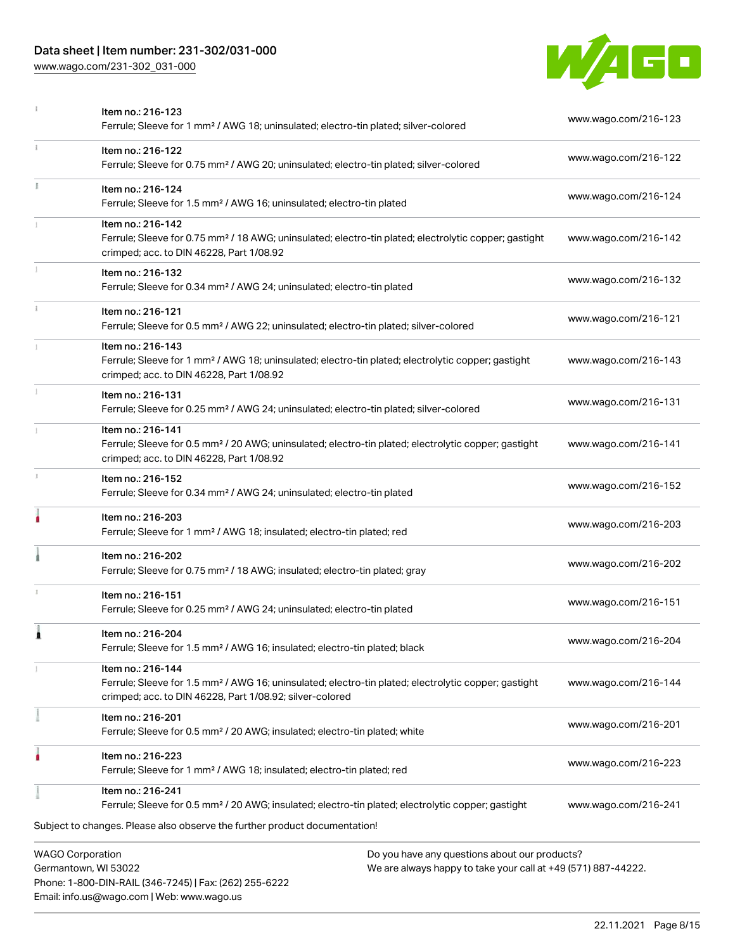# Data sheet | Item number: 231-302/031-000

Phone: 1-800-DIN-RAIL (346-7245) | Fax: (262) 255-6222

Email: info.us@wago.com | Web: www.wago.us

[www.wago.com/231-302\\_031-000](http://www.wago.com/231-302_031-000)



|    | <b>WAGO Corporation</b><br>Germantown, WI 53022                                                                                                                                                   | Do you have any questions about our products?<br>We are always happy to take your call at +49 (571) 887-44222. |  |
|----|---------------------------------------------------------------------------------------------------------------------------------------------------------------------------------------------------|----------------------------------------------------------------------------------------------------------------|--|
|    | Subject to changes. Please also observe the further product documentation!                                                                                                                        |                                                                                                                |  |
|    | Item no.: 216-241<br>Ferrule; Sleeve for 0.5 mm <sup>2</sup> / 20 AWG; insulated; electro-tin plated; electrolytic copper; gastight                                                               | www.wago.com/216-241                                                                                           |  |
|    | Item no.: 216-223<br>Ferrule; Sleeve for 1 mm <sup>2</sup> / AWG 18; insulated; electro-tin plated; red                                                                                           | www.wago.com/216-223                                                                                           |  |
|    | Item no.: 216-201<br>Ferrule; Sleeve for 0.5 mm <sup>2</sup> / 20 AWG; insulated; electro-tin plated; white                                                                                       | www.wago.com/216-201                                                                                           |  |
|    | Item no.: 216-144<br>Ferrule; Sleeve for 1.5 mm <sup>2</sup> / AWG 16; uninsulated; electro-tin plated; electrolytic copper; gastight<br>crimped; acc. to DIN 46228, Part 1/08.92; silver-colored | www.wago.com/216-144                                                                                           |  |
| 1  | Item no.: 216-204<br>Ferrule; Sleeve for 1.5 mm <sup>2</sup> / AWG 16; insulated; electro-tin plated; black                                                                                       | www.wago.com/216-204                                                                                           |  |
|    | Item no.: 216-151<br>Ferrule; Sleeve for 0.25 mm <sup>2</sup> / AWG 24; uninsulated; electro-tin plated                                                                                           | www.wago.com/216-151                                                                                           |  |
|    | Item no.: 216-202<br>Ferrule; Sleeve for 0.75 mm <sup>2</sup> / 18 AWG; insulated; electro-tin plated; gray                                                                                       | www.wago.com/216-202                                                                                           |  |
|    | Item no.: 216-203<br>Ferrule; Sleeve for 1 mm <sup>2</sup> / AWG 18; insulated; electro-tin plated; red                                                                                           | www.wago.com/216-203                                                                                           |  |
| J. | Item no.: 216-152<br>Ferrule; Sleeve for 0.34 mm <sup>2</sup> / AWG 24; uninsulated; electro-tin plated                                                                                           | www.wago.com/216-152                                                                                           |  |
|    | Item no.: 216-141<br>Ferrule; Sleeve for 0.5 mm <sup>2</sup> / 20 AWG; uninsulated; electro-tin plated; electrolytic copper; gastight<br>crimped; acc. to DIN 46228, Part 1/08.92                 | www.wago.com/216-141                                                                                           |  |
|    | Item no.: 216-131<br>Ferrule; Sleeve for 0.25 mm <sup>2</sup> / AWG 24; uninsulated; electro-tin plated; silver-colored                                                                           | www.wago.com/216-131                                                                                           |  |
|    | Item no.: 216-143<br>Ferrule; Sleeve for 1 mm <sup>2</sup> / AWG 18; uninsulated; electro-tin plated; electrolytic copper; gastight<br>crimped; acc. to DIN 46228, Part 1/08.92                   | www.wago.com/216-143                                                                                           |  |
|    | Item no.: 216-121<br>Ferrule; Sleeve for 0.5 mm <sup>2</sup> / AWG 22; uninsulated; electro-tin plated; silver-colored                                                                            | www.wago.com/216-121                                                                                           |  |
|    | Item no.: 216-132<br>Ferrule; Sleeve for 0.34 mm <sup>2</sup> / AWG 24; uninsulated; electro-tin plated                                                                                           | www.wago.com/216-132                                                                                           |  |
|    | Item no.: 216-142<br>Ferrule; Sleeve for 0.75 mm <sup>2</sup> / 18 AWG; uninsulated; electro-tin plated; electrolytic copper; gastight<br>crimped; acc. to DIN 46228, Part 1/08.92                | www.wago.com/216-142                                                                                           |  |
|    | Item no.: 216-124<br>Ferrule; Sleeve for 1.5 mm <sup>2</sup> / AWG 16; uninsulated; electro-tin plated                                                                                            | www.wago.com/216-124                                                                                           |  |
| ī. | Item no.: 216-122<br>Ferrule; Sleeve for 0.75 mm <sup>2</sup> / AWG 20; uninsulated; electro-tin plated; silver-colored                                                                           | www.wago.com/216-122                                                                                           |  |
|    | Item no.: 216-123<br>Ferrule; Sleeve for 1 mm <sup>2</sup> / AWG 18; uninsulated; electro-tin plated; silver-colored                                                                              | www.wago.com/216-123                                                                                           |  |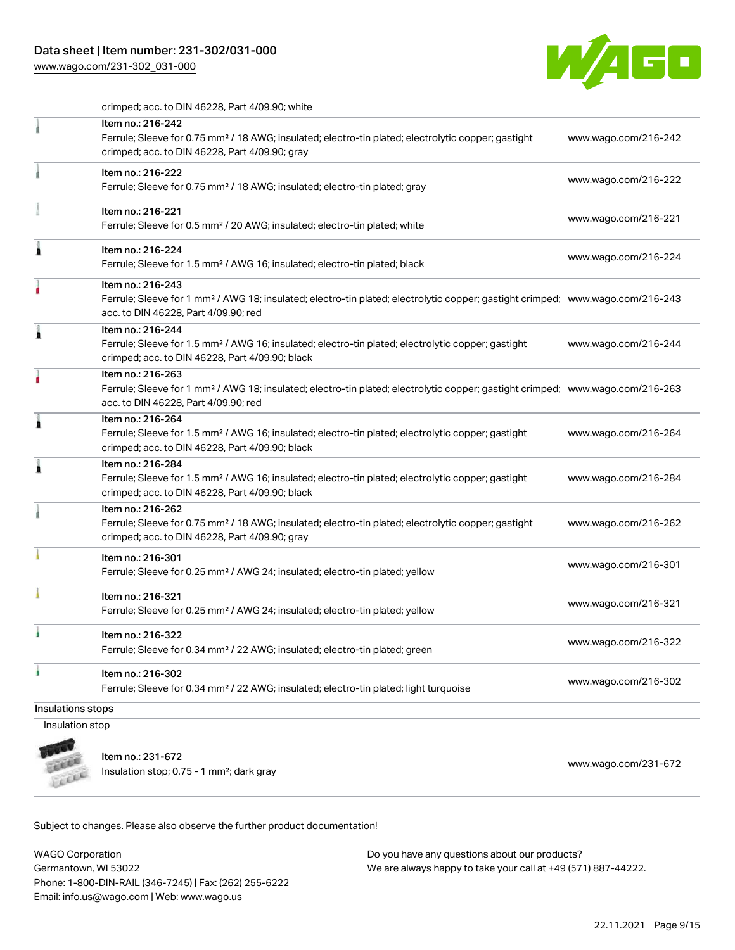# Data sheet | Item number: 231-302/031-000

[www.wago.com/231-302\\_031-000](http://www.wago.com/231-302_031-000)



crimped; acc. to DIN 46228, Part 4/09.90; white

|                   | Item no.: 216-242                                                                                                                                                                                       |                      |
|-------------------|---------------------------------------------------------------------------------------------------------------------------------------------------------------------------------------------------------|----------------------|
|                   | Ferrule; Sleeve for 0.75 mm <sup>2</sup> / 18 AWG; insulated; electro-tin plated; electrolytic copper; gastight<br>crimped; acc. to DIN 46228, Part 4/09.90; gray                                       | www.wago.com/216-242 |
|                   | Item no.: 216-222<br>Ferrule; Sleeve for 0.75 mm <sup>2</sup> / 18 AWG; insulated; electro-tin plated; gray                                                                                             | www.wago.com/216-222 |
|                   | Item no.: 216-221<br>Ferrule; Sleeve for 0.5 mm <sup>2</sup> / 20 AWG; insulated; electro-tin plated; white                                                                                             | www.wago.com/216-221 |
| ٨                 | Item no.: 216-224<br>Ferrule; Sleeve for 1.5 mm <sup>2</sup> / AWG 16; insulated; electro-tin plated; black                                                                                             | www.wago.com/216-224 |
|                   | Item no.: 216-243<br>Ferrule; Sleeve for 1 mm <sup>2</sup> / AWG 18; insulated; electro-tin plated; electrolytic copper; gastight crimped; www.wago.com/216-243<br>acc. to DIN 46228, Part 4/09.90; red |                      |
| 1                 | Item no.: 216-244<br>Ferrule; Sleeve for 1.5 mm <sup>2</sup> / AWG 16; insulated; electro-tin plated; electrolytic copper; gastight<br>crimped; acc. to DIN 46228, Part 4/09.90; black                  | www.wago.com/216-244 |
| ٥                 | Item no.: 216-263<br>Ferrule; Sleeve for 1 mm <sup>2</sup> / AWG 18; insulated; electro-tin plated; electrolytic copper; gastight crimped; www.wago.com/216-263<br>acc. to DIN 46228, Part 4/09.90; red |                      |
| 1                 | Item no.: 216-264<br>Ferrule; Sleeve for 1.5 mm <sup>2</sup> / AWG 16; insulated; electro-tin plated; electrolytic copper; gastight<br>crimped; acc. to DIN 46228, Part 4/09.90; black                  | www.wago.com/216-264 |
| 1                 | Item no.: 216-284<br>Ferrule; Sleeve for 1.5 mm <sup>2</sup> / AWG 16; insulated; electro-tin plated; electrolytic copper; gastight<br>crimped; acc. to DIN 46228, Part 4/09.90; black                  | www.wago.com/216-284 |
|                   | Item no.: 216-262<br>Ferrule; Sleeve for 0.75 mm <sup>2</sup> / 18 AWG; insulated; electro-tin plated; electrolytic copper; gastight<br>crimped; acc. to DIN 46228, Part 4/09.90; gray                  | www.wago.com/216-262 |
|                   | Item no.: 216-301<br>Ferrule; Sleeve for 0.25 mm <sup>2</sup> / AWG 24; insulated; electro-tin plated; yellow                                                                                           | www.wago.com/216-301 |
|                   | Item no.: 216-321<br>Ferrule; Sleeve for 0.25 mm <sup>2</sup> / AWG 24; insulated; electro-tin plated; yellow                                                                                           | www.wago.com/216-321 |
|                   | Item no.: 216-322<br>Ferrule; Sleeve for 0.34 mm <sup>2</sup> / 22 AWG; insulated; electro-tin plated; green                                                                                            | www.wago.com/216-322 |
| ۸                 | Item no.: 216-302<br>Ferrule; Sleeve for 0.34 mm <sup>2</sup> / 22 AWG; insulated; electro-tin plated; light turquoise                                                                                  | www.wago.com/216-302 |
| Insulations stops |                                                                                                                                                                                                         |                      |
| Insulation stop   |                                                                                                                                                                                                         |                      |
|                   |                                                                                                                                                                                                         |                      |



Item no.: 231-672 Item IIo... 231-072<br>Insulation stop; 0.75 - 1 mm²; dark gray [www.wago.com/231-672](http://www.wago.com/231-672)

Subject to changes. Please also observe the further product documentation!

WAGO Corporation Germantown, WI 53022 Phone: 1-800-DIN-RAIL (346-7245) | Fax: (262) 255-6222 Email: info.us@wago.com | Web: www.wago.us Do you have any questions about our products? We are always happy to take your call at +49 (571) 887-44222.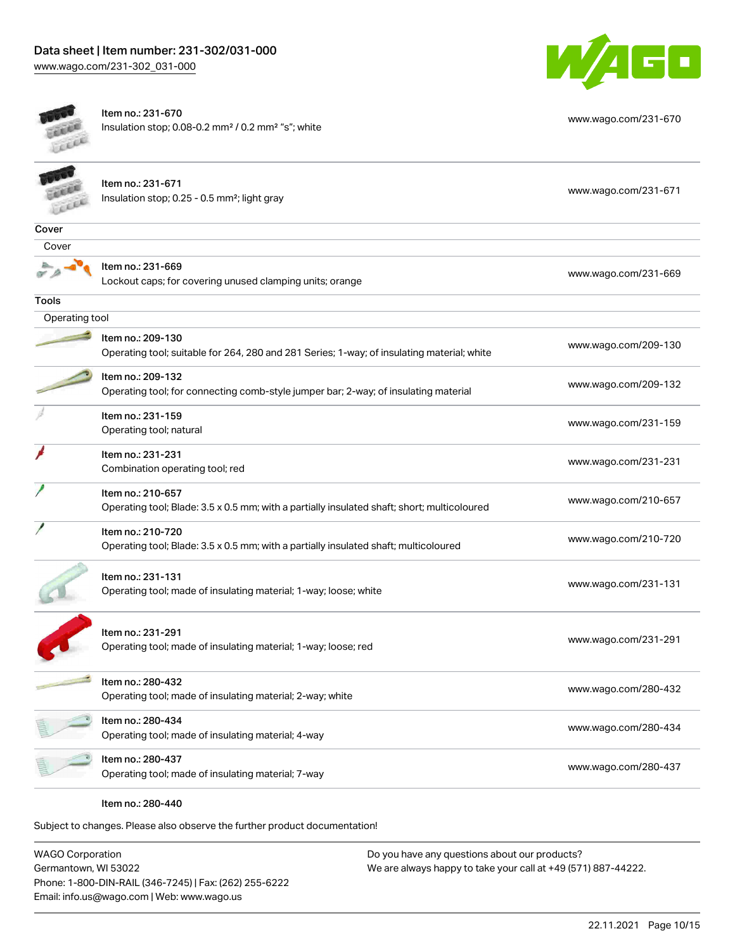

[www.wago.com/231-670](http://www.wago.com/231-670)



Item no.: 231-670 Insulation stop; 0.08-0.2 mm² / 0.2 mm² "s"; white

|                | Item no.: 231-671<br>Insulation stop; 0.25 - 0.5 mm <sup>2</sup> ; light gray                                    | www.wago.com/231-671 |
|----------------|------------------------------------------------------------------------------------------------------------------|----------------------|
| Cover          |                                                                                                                  |                      |
| Cover          |                                                                                                                  |                      |
|                | Item no.: 231-669<br>Lockout caps; for covering unused clamping units; orange                                    | www.wago.com/231-669 |
| Tools          |                                                                                                                  |                      |
| Operating tool |                                                                                                                  |                      |
|                | Item no.: 209-130<br>Operating tool; suitable for 264, 280 and 281 Series; 1-way; of insulating material; white  | www.wago.com/209-130 |
|                | Item no.: 209-132<br>Operating tool; for connecting comb-style jumper bar; 2-way; of insulating material         | www.wago.com/209-132 |
|                | Item no.: 231-159<br>Operating tool; natural                                                                     | www.wago.com/231-159 |
|                | Item no.: 231-231<br>Combination operating tool; red                                                             | www.wago.com/231-231 |
|                | Item no.: 210-657<br>Operating tool; Blade: 3.5 x 0.5 mm; with a partially insulated shaft; short; multicoloured | www.wago.com/210-657 |
|                | Item no.: 210-720<br>Operating tool; Blade: 3.5 x 0.5 mm; with a partially insulated shaft; multicoloured        | www.wago.com/210-720 |
|                | Item no.: 231-131<br>Operating tool; made of insulating material; 1-way; loose; white                            | www.wago.com/231-131 |
|                | Item no.: 231-291<br>Operating tool; made of insulating material; 1-way; loose; red                              | www.wago.com/231-291 |
|                | Item no.: 280-432<br>Operating tool; made of insulating material; 2-way; white                                   | www.wago.com/280-432 |
|                | Item no.: 280-434<br>Operating tool; made of insulating material; 4-way                                          | www.wago.com/280-434 |
|                | Item no.: 280-437<br>Operating tool; made of insulating material; 7-way                                          | www.wago.com/280-437 |
|                | Item no.: 280-440                                                                                                |                      |

Subject to changes. Please also observe the further product documentation!

WAGO Corporation Germantown, WI 53022 Phone: 1-800-DIN-RAIL (346-7245) | Fax: (262) 255-6222 Email: info.us@wago.com | Web: www.wago.us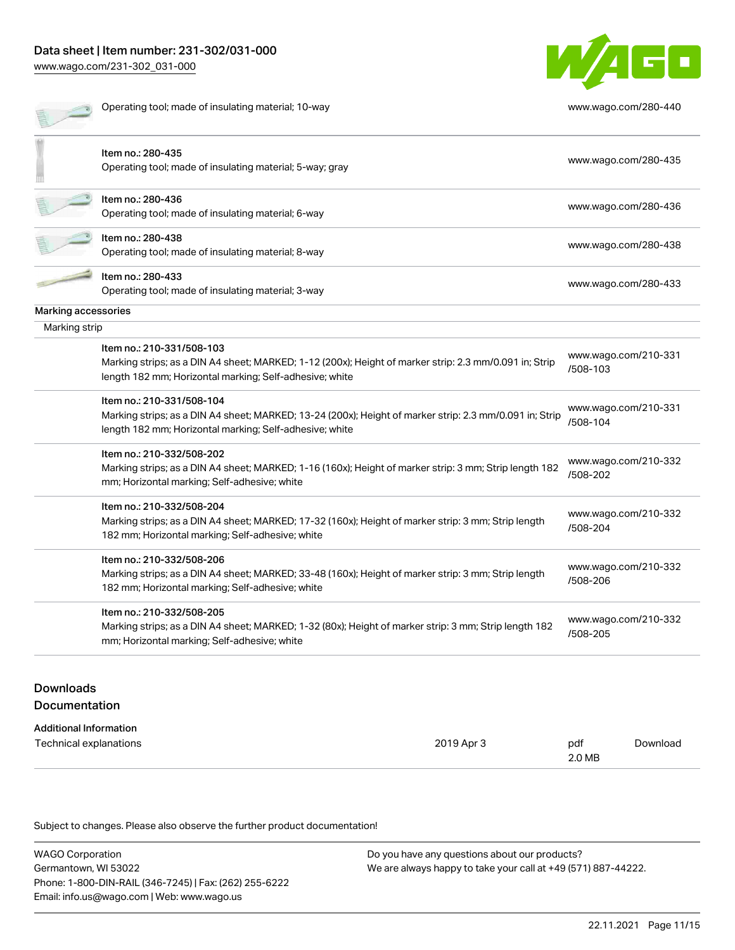# Data sheet | Item number: 231-302/031-000 [www.wago.com/231-302\\_031-000](http://www.wago.com/231-302_031-000)

W/4GO

|                     | Operating tool; made of insulating material; 10-way                                                                                                                                             | www.wago.com/280-440             |
|---------------------|-------------------------------------------------------------------------------------------------------------------------------------------------------------------------------------------------|----------------------------------|
|                     | Item no.: 280-435<br>Operating tool; made of insulating material; 5-way; gray                                                                                                                   | www.wago.com/280-435             |
|                     | Item no.: 280-436<br>Operating tool; made of insulating material; 6-way                                                                                                                         | www.wago.com/280-436             |
|                     | Item no.: 280-438<br>Operating tool; made of insulating material; 8-way                                                                                                                         | www.wago.com/280-438             |
|                     | Item no.: 280-433<br>Operating tool; made of insulating material; 3-way                                                                                                                         | www.wago.com/280-433             |
| Marking accessories |                                                                                                                                                                                                 |                                  |
| Marking strip       |                                                                                                                                                                                                 |                                  |
|                     | Item no.: 210-331/508-103<br>Marking strips; as a DIN A4 sheet; MARKED; 1-12 (200x); Height of marker strip: 2.3 mm/0.091 in; Strip<br>length 182 mm; Horizontal marking; Self-adhesive; white  | www.wago.com/210-331<br>/508-103 |
|                     | Item no.: 210-331/508-104<br>Marking strips; as a DIN A4 sheet; MARKED; 13-24 (200x); Height of marker strip: 2.3 mm/0.091 in; Strip<br>length 182 mm; Horizontal marking; Self-adhesive; white | www.wago.com/210-331<br>/508-104 |
|                     | Item no.: 210-332/508-202<br>Marking strips; as a DIN A4 sheet; MARKED; 1-16 (160x); Height of marker strip: 3 mm; Strip length 182<br>mm; Horizontal marking; Self-adhesive; white             | www.wago.com/210-332<br>/508-202 |
|                     | Item no.: 210-332/508-204<br>Marking strips; as a DIN A4 sheet; MARKED; 17-32 (160x); Height of marker strip: 3 mm; Strip length<br>182 mm; Horizontal marking; Self-adhesive; white            | www.wago.com/210-332<br>/508-204 |
|                     | Item no.: 210-332/508-206<br>Marking strips; as a DIN A4 sheet; MARKED; 33-48 (160x); Height of marker strip: 3 mm; Strip length<br>182 mm; Horizontal marking; Self-adhesive; white            | www.wago.com/210-332<br>/508-206 |
|                     | Item no.: 210-332/508-205<br>Marking strips; as a DIN A4 sheet; MARKED; 1-32 (80x); Height of marker strip: 3 mm; Strip length 182<br>mm; Horizontal marking; Self-adhesive; white              | www.wago.com/210-332<br>/508-205 |
|                     |                                                                                                                                                                                                 |                                  |

# Downloads Documentation

| Additional Information |            |        |          |
|------------------------|------------|--------|----------|
| Technical explanations | 2019 Apr 3 | pdf    | Download |
|                        |            | 2.0 MB |          |

Subject to changes. Please also observe the further product documentation!

| <b>WAGO Corporation</b>                                | Do you have any questions about our products?                 |
|--------------------------------------------------------|---------------------------------------------------------------|
| Germantown, WI 53022                                   | We are always happy to take your call at +49 (571) 887-44222. |
| Phone: 1-800-DIN-RAIL (346-7245)   Fax: (262) 255-6222 |                                                               |
| Email: info.us@wago.com   Web: www.wago.us             |                                                               |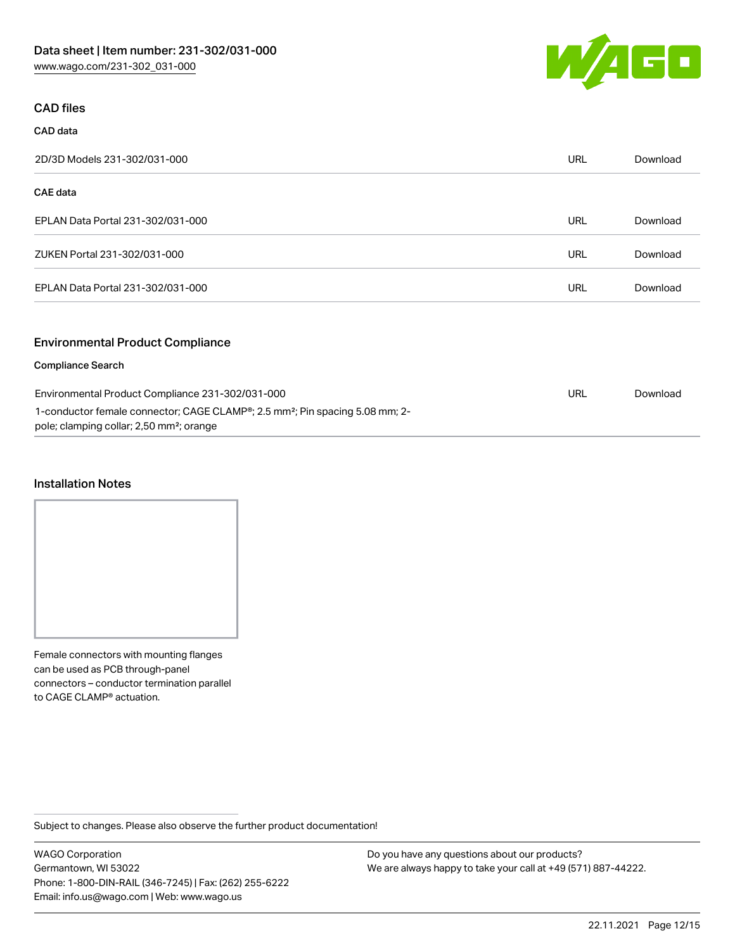

## CAD files

| CAD data                                                                                                                                         |            |          |
|--------------------------------------------------------------------------------------------------------------------------------------------------|------------|----------|
| 2D/3D Models 231-302/031-000                                                                                                                     | <b>URL</b> | Download |
| <b>CAE</b> data                                                                                                                                  |            |          |
| EPLAN Data Portal 231-302/031-000                                                                                                                | <b>URL</b> | Download |
| ZUKEN Portal 231-302/031-000                                                                                                                     | <b>URL</b> | Download |
| EPLAN Data Portal 231-302/031-000                                                                                                                | <b>URL</b> | Download |
| <b>Environmental Product Compliance</b>                                                                                                          |            |          |
| <b>Compliance Search</b>                                                                                                                         |            |          |
| Environmental Product Compliance 231-302/031-000                                                                                                 | <b>URL</b> | Download |
| 1-conductor female connector; CAGE CLAMP®; 2.5 mm <sup>2</sup> ; Pin spacing 5.08 mm; 2-<br>pole; clamping collar; 2,50 mm <sup>2</sup> ; orange |            |          |

#### Installation Notes

Female connectors with mounting flanges can be used as PCB through-panel connectors – conductor termination parallel to CAGE CLAMP® actuation.

Subject to changes. Please also observe the further product documentation!

WAGO Corporation Germantown, WI 53022 Phone: 1-800-DIN-RAIL (346-7245) | Fax: (262) 255-6222 Email: info.us@wago.com | Web: www.wago.us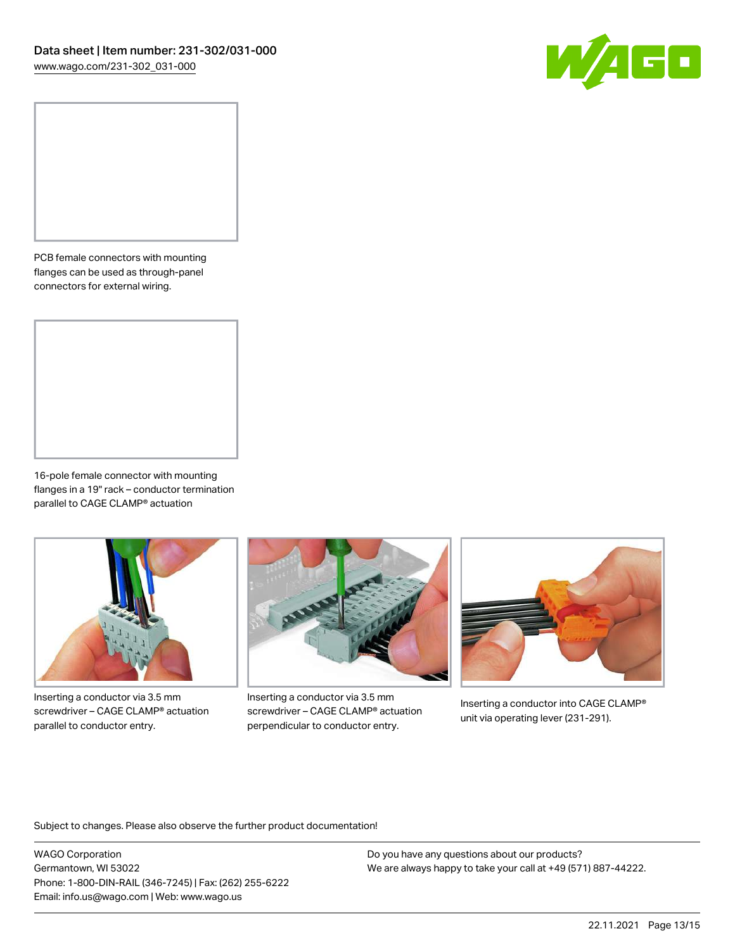

PCB female connectors with mounting flanges can be used as through-panel connectors for external wiring.

16-pole female connector with mounting flanges in a 19" rack – conductor termination parallel to CAGE CLAMP® actuation



Inserting a conductor via 3.5 mm screwdriver – CAGE CLAMP® actuation parallel to conductor entry.



Inserting a conductor via 3.5 mm screwdriver – CAGE CLAMP® actuation perpendicular to conductor entry.



Inserting a conductor into CAGE CLAMP® unit via operating lever (231-291).

Subject to changes. Please also observe the further product documentation!

WAGO Corporation Germantown, WI 53022 Phone: 1-800-DIN-RAIL (346-7245) | Fax: (262) 255-6222 Email: info.us@wago.com | Web: www.wago.us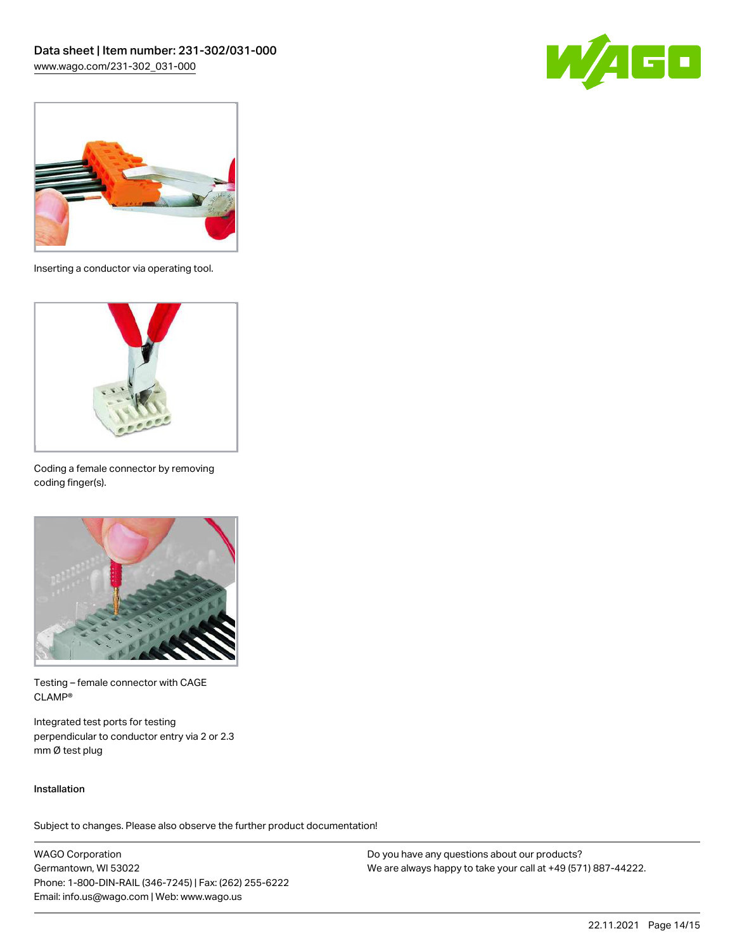



Inserting a conductor via operating tool.



Coding a female connector by removing coding finger(s).



Testing – female connector with CAGE CLAMP®

Integrated test ports for testing perpendicular to conductor entry via 2 or 2.3 mm Ø test plug

#### Installation

Subject to changes. Please also observe the further product documentation!

WAGO Corporation Germantown, WI 53022 Phone: 1-800-DIN-RAIL (346-7245) | Fax: (262) 255-6222 Email: info.us@wago.com | Web: www.wago.us